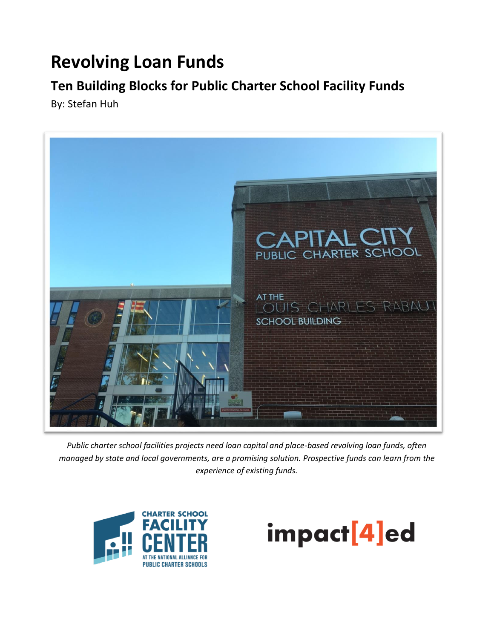# **Revolving Loan Funds**

# **Ten Building Blocks for Public Charter School Facility Funds**

By: Stefan Huh



*Public charter school facilities projects need loan capital and place-based revolving loan funds, often managed by state and local governments, are a promising solution. Prospective funds can learn from the experience of existing funds.*



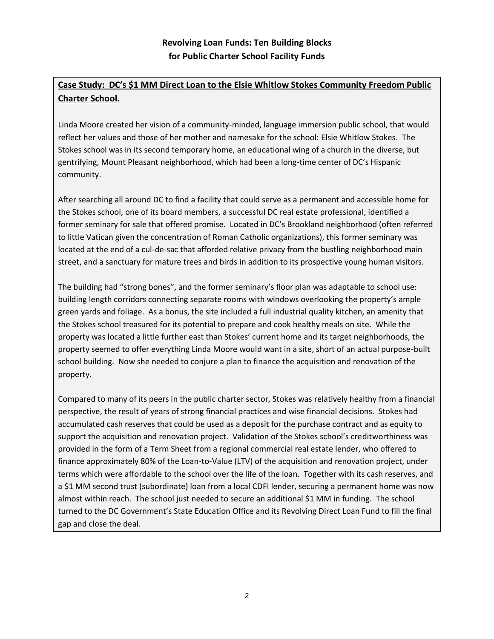# **Case Study: DC's \$1 MM Direct Loan to the Elsie Whitlow Stokes Community Freedom Public Charter School.**

Linda Moore created her vision of a community-minded, language immersion public school, that would reflect her values and those of her mother and namesake for the school: Elsie Whitlow Stokes. The Stokes school was in its second temporary home, an educational wing of a church in the diverse, but gentrifying, Mount Pleasant neighborhood, which had been a long-time center of DC's Hispanic community.

After searching all around DC to find a facility that could serve as a permanent and accessible home for the Stokes school, one of its board members, a successful DC real estate professional, identified a former seminary for sale that offered promise. Located in DC's Brookland neighborhood (often referred to little Vatican given the concentration of Roman Catholic organizations), this former seminary was located at the end of a cul-de-sac that afforded relative privacy from the bustling neighborhood main street, and a sanctuary for mature trees and birds in addition to its prospective young human visitors.

The building had "strong bones", and the former seminary's floor plan was adaptable to school use: building length corridors connecting separate rooms with windows overlooking the property's ample green yards and foliage. As a bonus, the site included a full industrial quality kitchen, an amenity that the Stokes school treasured for its potential to prepare and cook healthy meals on site. While the property was located a little further east than Stokes' current home and its target neighborhoods, the property seemed to offer everything Linda Moore would want in a site, short of an actual purpose-built school building. Now she needed to conjure a plan to finance the acquisition and renovation of the property.

Compared to many of its peers in the public charter sector, Stokes was relatively healthy from a financial perspective, the result of years of strong financial practices and wise financial decisions. Stokes had accumulated cash reserves that could be used as a deposit for the purchase contract and as equity to support the acquisition and renovation project. Validation of the Stokes school's creditworthiness was provided in the form of a Term Sheet from a regional commercial real estate lender, who offered to finance approximately 80% of the Loan-to-Value (LTV) of the acquisition and renovation project, under terms which were affordable to the school over the life of the loan. Together with its cash reserves, and a \$1 MM second trust (subordinate) loan from a local CDFI lender, securing a permanent home was now almost within reach. The school just needed to secure an additional \$1 MM in funding. The school turned to the DC Government's State Education Office and its Revolving Direct Loan Fund to fill the final gap and close the deal.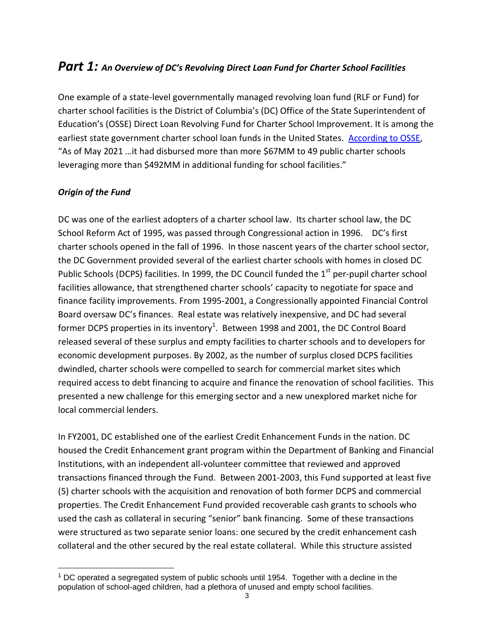# *Part 1: An Overview of DC's Revolving Direct Loan Fund for Charter School Facilities*

One example of a state-level governmentally managed revolving loan fund (RLF or Fund) for charter school facilities is the District of Columbia's (DC) Office of the State Superintendent of Education's (OSSE) Direct Loan Revolving Fund for Charter School Improvement. It is among the earliest state government charter school loan funds in the United States. [According to OSSE,](https://osse.dc.gov/service/facilities-financing-dc-public-charter-schools) "As of May 2021 …it had disbursed more than more \$67MM to 49 public charter schools leveraging more than \$492MM in additional funding for school facilities."

#### *Origin of the Fund*

DC was one of the earliest adopters of a charter school law. Its charter school law, the DC School Reform Act of 1995, was passed through Congressional action in 1996. DC's first charter schools opened in the fall of 1996. In those nascent years of the charter school sector, the DC Government provided several of the earliest charter schools with homes in closed DC Public Schools (DCPS) facilities. In 1999, the DC Council funded the  $1<sup>st</sup>$  per-pupil charter school facilities allowance, that strengthened charter schools' capacity to negotiate for space and finance facility improvements. From 1995-2001, a Congressionally appointed Financial Control Board oversaw DC's finances. Real estate was relatively inexpensive, and DC had several former DCPS properties in its inventory<sup>1</sup>. Between 1998 and 2001, the DC Control Board released several of these surplus and empty facilities to charter schools and to developers for economic development purposes. By 2002, as the number of surplus closed DCPS facilities dwindled, charter schools were compelled to search for commercial market sites which required access to debt financing to acquire and finance the renovation of school facilities. This presented a new challenge for this emerging sector and a new unexplored market niche for local commercial lenders.

In FY2001, DC established one of the earliest Credit Enhancement Funds in the nation. DC housed the Credit Enhancement grant program within the Department of Banking and Financial Institutions, with an independent all-volunteer committee that reviewed and approved transactions financed through the Fund. Between 2001-2003, this Fund supported at least five (5) charter schools with the acquisition and renovation of both former DCPS and commercial properties. The Credit Enhancement Fund provided recoverable cash grants to schools who used the cash as collateral in securing "senior" bank financing. Some of these transactions were structured as two separate senior loans: one secured by the credit enhancement cash collateral and the other secured by the real estate collateral. While this structure assisted

 $1$  DC operated a segregated system of public schools until 1954. Together with a decline in the population of school-aged children, had a plethora of unused and empty school facilities.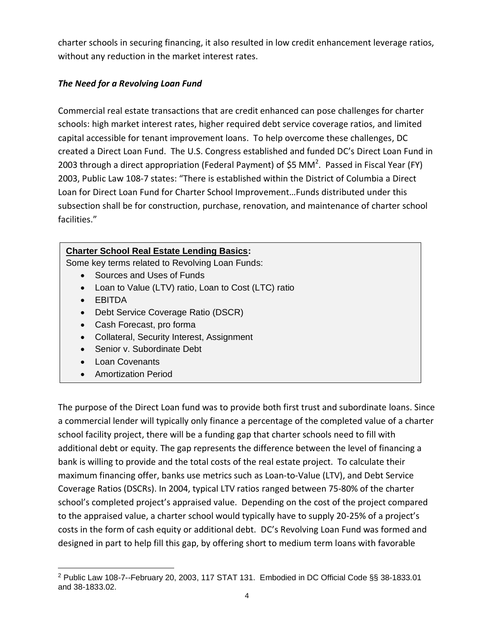charter schools in securing financing, it also resulted in low credit enhancement leverage ratios, without any reduction in the market interest rates.

#### *The Need for a Revolving Loan Fund*

Commercial real estate transactions that are credit enhanced can pose challenges for charter schools: high market interest rates, higher required debt service coverage ratios, and limited capital accessible for tenant improvement loans. To help overcome these challenges, DC created a Direct Loan Fund. The U.S. Congress established and funded DC's Direct Loan Fund in 2003 through a direct appropriation (Federal Payment) of \$5 MM<sup>2</sup>. Passed in Fiscal Year (FY) 2003, Public Law 108-7 states: "There is established within the District of Columbia a Direct Loan for Direct Loan Fund for Charter School Improvement…Funds distributed under this subsection shall be for construction, purchase, renovation, and maintenance of charter school facilities."

#### **Charter School Real Estate Lending Basics:**

Some key terms related to Revolving Loan Funds:

- Sources and Uses of Funds
- Loan to Value (LTV) ratio, Loan to Cost (LTC) ratio
- EBITDA
- Debt Service Coverage Ratio (DSCR)
- Cash Forecast, pro forma
- Collateral, Security Interest, Assignment
- Senior v. Subordinate Debt
- Loan Covenants
- Amortization Period

The purpose of the Direct Loan fund was to provide both first trust and subordinate loans. Since a commercial lender will typically only finance a percentage of the completed value of a charter school facility project, there will be a funding gap that charter schools need to fill with additional debt or equity. The gap represents the difference between the level of financing a bank is willing to provide and the total costs of the real estate project. To calculate their maximum financing offer, banks use metrics such as Loan-to-Value (LTV), and Debt Service Coverage Ratios (DSCRs). In 2004, typical LTV ratios ranged between 75-80% of the charter school's completed project's appraised value. Depending on the cost of the project compared to the appraised value, a charter school would typically have to supply 20-25% of a project's costs in the form of cash equity or additional debt. DC's Revolving Loan Fund was formed and designed in part to help fill this gap, by offering short to medium term loans with favorable

 $2$  Public Law 108-7--February 20, 2003, 117 STAT 131. Embodied in DC Official Code §§ 38-1833.01 and 38-1833.02.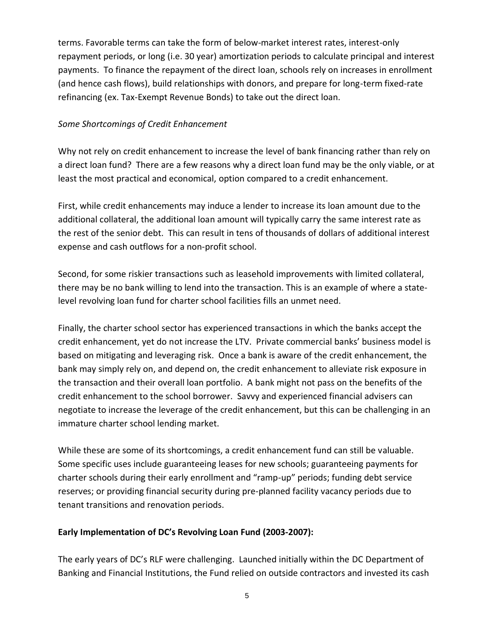terms. Favorable terms can take the form of below-market interest rates, interest-only repayment periods, or long (i.e. 30 year) amortization periods to calculate principal and interest payments. To finance the repayment of the direct loan, schools rely on increases in enrollment (and hence cash flows), build relationships with donors, and prepare for long-term fixed-rate refinancing (ex. Tax-Exempt Revenue Bonds) to take out the direct loan.

#### *Some Shortcomings of Credit Enhancement*

Why not rely on credit enhancement to increase the level of bank financing rather than rely on a direct loan fund? There are a few reasons why a direct loan fund may be the only viable, or at least the most practical and economical, option compared to a credit enhancement.

First, while credit enhancements may induce a lender to increase its loan amount due to the additional collateral, the additional loan amount will typically carry the same interest rate as the rest of the senior debt. This can result in tens of thousands of dollars of additional interest expense and cash outflows for a non-profit school.

Second, for some riskier transactions such as leasehold improvements with limited collateral, there may be no bank willing to lend into the transaction. This is an example of where a statelevel revolving loan fund for charter school facilities fills an unmet need.

Finally, the charter school sector has experienced transactions in which the banks accept the credit enhancement, yet do not increase the LTV. Private commercial banks' business model is based on mitigating and leveraging risk. Once a bank is aware of the credit enhancement, the bank may simply rely on, and depend on, the credit enhancement to alleviate risk exposure in the transaction and their overall loan portfolio. A bank might not pass on the benefits of the credit enhancement to the school borrower. Savvy and experienced financial advisers can negotiate to increase the leverage of the credit enhancement, but this can be challenging in an immature charter school lending market.

While these are some of its shortcomings, a credit enhancement fund can still be valuable. Some specific uses include guaranteeing leases for new schools; guaranteeing payments for charter schools during their early enrollment and "ramp-up" periods; funding debt service reserves; or providing financial security during pre-planned facility vacancy periods due to tenant transitions and renovation periods.

#### **Early Implementation of DC's Revolving Loan Fund (2003-2007):**

The early years of DC's RLF were challenging. Launched initially within the DC Department of Banking and Financial Institutions, the Fund relied on outside contractors and invested its cash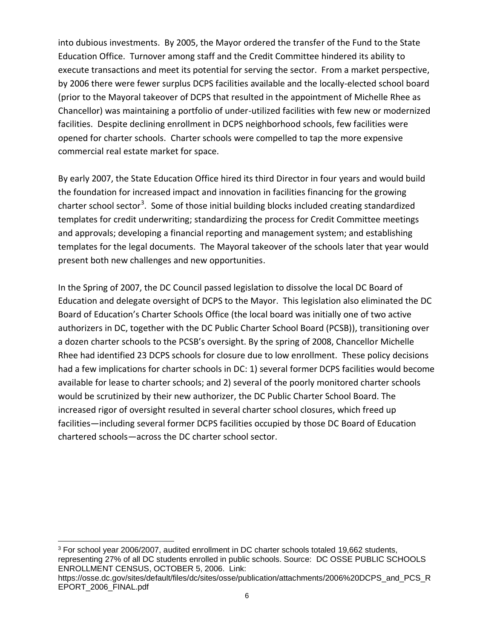into dubious investments. By 2005, the Mayor ordered the transfer of the Fund to the State Education Office. Turnover among staff and the Credit Committee hindered its ability to execute transactions and meet its potential for serving the sector. From a market perspective, by 2006 there were fewer surplus DCPS facilities available and the locally-elected school board (prior to the Mayoral takeover of DCPS that resulted in the appointment of Michelle Rhee as Chancellor) was maintaining a portfolio of under-utilized facilities with few new or modernized facilities. Despite declining enrollment in DCPS neighborhood schools, few facilities were opened for charter schools. Charter schools were compelled to tap the more expensive commercial real estate market for space.

By early 2007, the State Education Office hired its third Director in four years and would build the foundation for increased impact and innovation in facilities financing for the growing charter school sector<sup>3</sup>. Some of those initial building blocks included creating standardized templates for credit underwriting; standardizing the process for Credit Committee meetings and approvals; developing a financial reporting and management system; and establishing templates for the legal documents. The Mayoral takeover of the schools later that year would present both new challenges and new opportunities.

In the Spring of 2007, the DC Council passed legislation to dissolve the local DC Board of Education and delegate oversight of DCPS to the Mayor. This legislation also eliminated the DC Board of Education's Charter Schools Office (the local board was initially one of two active authorizers in DC, together with the DC Public Charter School Board (PCSB)), transitioning over a dozen charter schools to the PCSB's oversight. By the spring of 2008, Chancellor Michelle Rhee had identified 23 DCPS schools for closure due to low enrollment. These policy decisions had a few implications for charter schools in DC: 1) several former DCPS facilities would become available for lease to charter schools; and 2) several of the poorly monitored charter schools would be scrutinized by their new authorizer, the DC Public Charter School Board. The increased rigor of oversight resulted in several charter school closures, which freed up facilities—including several former DCPS facilities occupied by those DC Board of Education chartered schools—across the DC charter school sector.

<sup>3</sup> For school year 2006/2007, audited enrollment in DC charter schools totaled 19,662 students, representing 27% of all DC students enrolled in public schools. Source: DC OSSE PUBLIC SCHOOLS ENROLLMENT CENSUS, OCTOBER 5, 2006. Link:

https://osse.dc.gov/sites/default/files/dc/sites/osse/publication/attachments/2006%20DCPS\_and\_PCS\_R EPORT\_2006\_FINAL.pdf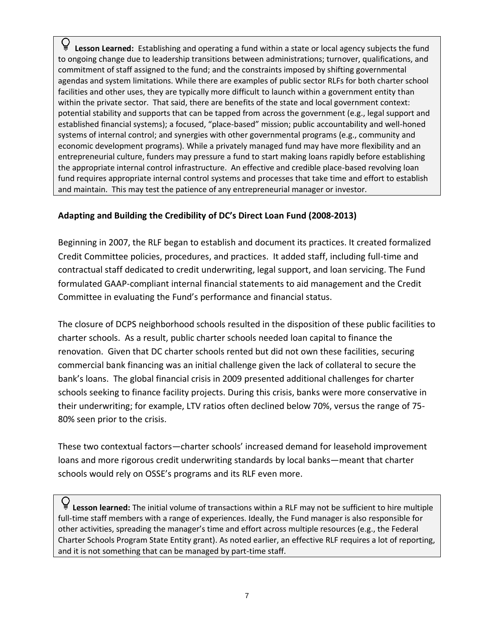**Lesson Learned:** Establishing and operating a fund within a state or local agency subjects the fund to ongoing change due to leadership transitions between administrations; turnover, qualifications, and commitment of staff assigned to the fund; and the constraints imposed by shifting governmental agendas and system limitations. While there are examples of public sector RLFs for both charter school facilities and other uses, they are typically more difficult to launch within a government entity than within the private sector. That said, there are benefits of the state and local government context: potential stability and supports that can be tapped from across the government (e.g., legal support and established financial systems); a focused, "place-based" mission; public accountability and well-honed systems of internal control; and synergies with other governmental programs (e.g., community and economic development programs). While a privately managed fund may have more flexibility and an entrepreneurial culture, funders may pressure a fund to start making loans rapidly before establishing the appropriate internal control infrastructure. An effective and credible place-based revolving loan fund requires appropriate internal control systems and processes that take time and effort to establish and maintain. This may test the patience of any entrepreneurial manager or investor.

#### **Adapting and Building the Credibility of DC's Direct Loan Fund (2008-2013)**

Beginning in 2007, the RLF began to establish and document its practices. It created formalized Credit Committee policies, procedures, and practices. It added staff, including full-time and contractual staff dedicated to credit underwriting, legal support, and loan servicing. The Fund formulated GAAP-compliant internal financial statements to aid management and the Credit Committee in evaluating the Fund's performance and financial status.

The closure of DCPS neighborhood schools resulted in the disposition of these public facilities to charter schools. As a result, public charter schools needed loan capital to finance the renovation. Given that DC charter schools rented but did not own these facilities, securing commercial bank financing was an initial challenge given the lack of collateral to secure the bank's loans. The global financial crisis in 2009 presented additional challenges for charter schools seeking to finance facility projects. During this crisis, banks were more conservative in their underwriting; for example, LTV ratios often declined below 70%, versus the range of 75- 80% seen prior to the crisis.

These two contextual factors—charter schools' increased demand for leasehold improvement loans and more rigorous credit underwriting standards by local banks—meant that charter schools would rely on OSSE's programs and its RLF even more.

**Lesson learned:** The initial volume of transactions within a RLF may not be sufficient to hire multiple full-time staff members with a range of experiences. Ideally, the Fund manager is also responsible for other activities, spreading the manager's time and effort across multiple resources (e.g., the Federal Charter Schools Program State Entity grant). As noted earlier, an effective RLF requires a lot of reporting, and it is not something that can be managed by part-time staff.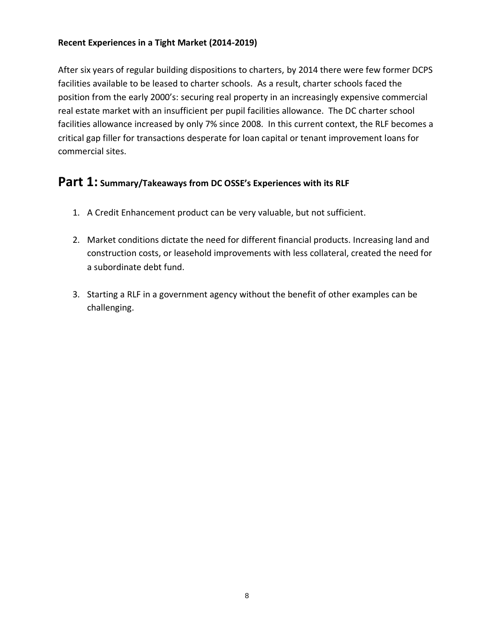#### **Recent Experiences in a Tight Market (2014-2019)**

After six years of regular building dispositions to charters, by 2014 there were few former DCPS facilities available to be leased to charter schools. As a result, charter schools faced the position from the early 2000's: securing real property in an increasingly expensive commercial real estate market with an insufficient per pupil facilities allowance. The DC charter school facilities allowance increased by only 7% since 2008. In this current context, the RLF becomes a critical gap filler for transactions desperate for loan capital or tenant improvement loans for commercial sites.

# **Part 1: Summary/Takeaways from DC OSSE's Experiences with its RLF**

- 1. A Credit Enhancement product can be very valuable, but not sufficient.
- 2. Market conditions dictate the need for different financial products. Increasing land and construction costs, or leasehold improvements with less collateral, created the need for a subordinate debt fund.
- 3. Starting a RLF in a government agency without the benefit of other examples can be challenging.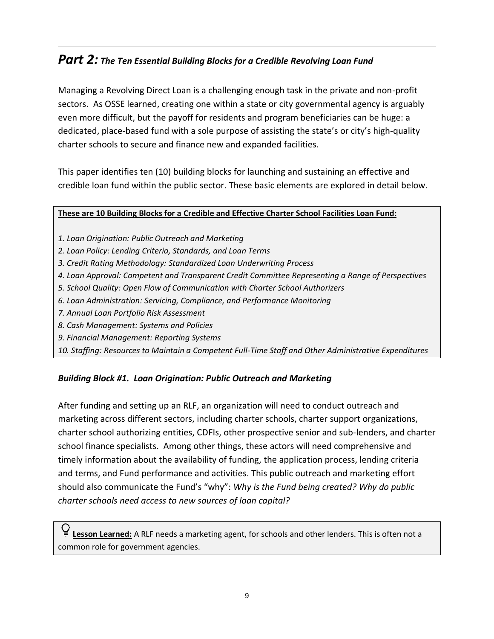# *Part 2: The Ten Essential Building Blocks for a Credible Revolving Loan Fund*

Managing a Revolving Direct Loan is a challenging enough task in the private and non-profit sectors. As OSSE learned, creating one within a state or city governmental agency is arguably even more difficult, but the payoff for residents and program beneficiaries can be huge: a dedicated, place-based fund with a sole purpose of assisting the state's or city's high-quality charter schools to secure and finance new and expanded facilities.

This paper identifies ten (10) building blocks for launching and sustaining an effective and credible loan fund within the public sector. These basic elements are explored in detail below.

#### **These are 10 Building Blocks for a Credible and Effective Charter School Facilities Loan Fund:**

- *1. Loan Origination: Public Outreach and Marketing*
- *2. Loan Policy: Lending Criteria, Standards, and Loan Terms*
- *3. Credit Rating Methodology: Standardized Loan Underwriting Process*
- *4. Loan Approval: Competent and Transparent Credit Committee Representing a Range of Perspectives*
- *5. School Quality: Open Flow of Communication with Charter School Authorizers*
- *6. Loan Administration: Servicing, Compliance, and Performance Monitoring*
- *7. Annual Loan Portfolio Risk Assessment*
- *8. Cash Management: Systems and Policies*
- *9. Financial Management: Reporting Systems*
- *10. Staffing: Resources to Maintain a Competent Full-Time Staff and Other Administrative Expenditures*

#### *Building Block #1. Loan Origination: Public Outreach and Marketing*

After funding and setting up an RLF, an organization will need to conduct outreach and marketing across different sectors, including charter schools, charter support organizations, charter school authorizing entities, CDFIs, other prospective senior and sub-lenders, and charter school finance specialists. Among other things, these actors will need comprehensive and timely information about the availability of funding, the application process, lending criteria and terms, and Fund performance and activities. This public outreach and marketing effort should also communicate the Fund's "why": *Why is the Fund being created? Why do public charter schools need access to new sources of loan capital?*

**Lesson Learned:** A RLF needs a marketing agent, for schools and other lenders. This is often not a common role for government agencies.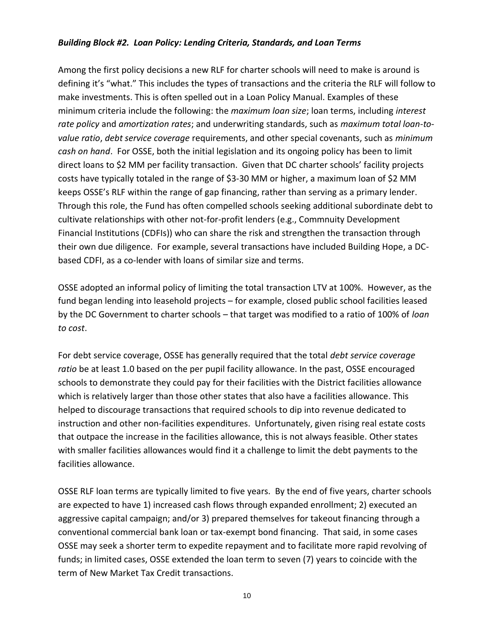#### *Building Block #2. Loan Policy: Lending Criteria, Standards, and Loan Terms*

Among the first policy decisions a new RLF for charter schools will need to make is around is defining it's "what." This includes the types of transactions and the criteria the RLF will follow to make investments. This is often spelled out in a Loan Policy Manual. Examples of these minimum criteria include the following: the *maximum loan size*; loan terms, including *interest rate policy* and *amortization rates*; and underwriting standards, such as *maximum total loan-tovalue ratio*, *debt service coverage* requirements, and other special covenants, such as *minimum cash on hand*. For OSSE, both the initial legislation and its ongoing policy has been to limit direct loans to \$2 MM per facility transaction. Given that DC charter schools' facility projects costs have typically totaled in the range of \$3-30 MM or higher, a maximum loan of \$2 MM keeps OSSE's RLF within the range of gap financing, rather than serving as a primary lender. Through this role, the Fund has often compelled schools seeking additional subordinate debt to cultivate relationships with other not-for-profit lenders (e.g., Commnuity Development Financial Institutions (CDFIs)) who can share the risk and strengthen the transaction through their own due diligence. For example, several transactions have included Building Hope, a DCbased CDFI, as a co-lender with loans of similar size and terms.

OSSE adopted an informal policy of limiting the total transaction LTV at 100%. However, as the fund began lending into leasehold projects – for example, closed public school facilities leased by the DC Government to charter schools – that target was modified to a ratio of 100% of *loan to cost*.

For debt service coverage, OSSE has generally required that the total *debt service coverage ratio* be at least 1.0 based on the per pupil facility allowance. In the past, OSSE encouraged schools to demonstrate they could pay for their facilities with the District facilities allowance which is relatively larger than those other states that also have a facilities allowance. This helped to discourage transactions that required schools to dip into revenue dedicated to instruction and other non-facilities expenditures. Unfortunately, given rising real estate costs that outpace the increase in the facilities allowance, this is not always feasible. Other states with smaller facilities allowances would find it a challenge to limit the debt payments to the facilities allowance.

OSSE RLF loan terms are typically limited to five years. By the end of five years, charter schools are expected to have 1) increased cash flows through expanded enrollment; 2) executed an aggressive capital campaign; and/or 3) prepared themselves for takeout financing through a conventional commercial bank loan or tax-exempt bond financing. That said, in some cases OSSE may seek a shorter term to expedite repayment and to facilitate more rapid revolving of funds; in limited cases, OSSE extended the loan term to seven (7) years to coincide with the term of New Market Tax Credit transactions.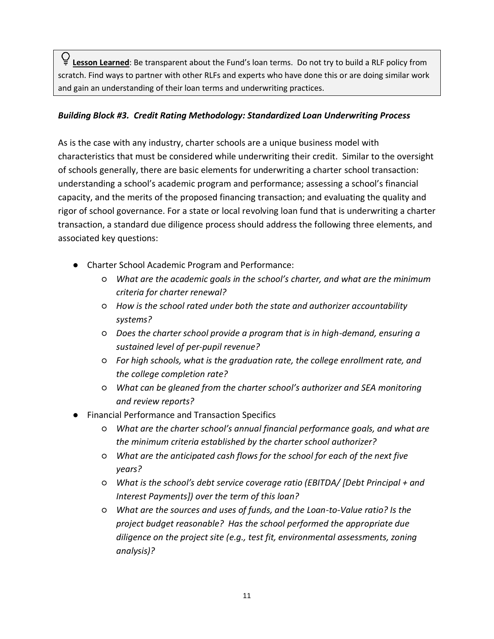**Lesson Learned**: Be transparent about the Fund's loan terms. Do not try to build a RLF policy from scratch. Find ways to partner with other RLFs and experts who have done this or are doing similar work and gain an understanding of their loan terms and underwriting practices.

#### *Building Block #3. Credit Rating Methodology: Standardized Loan Underwriting Process*

As is the case with any industry, charter schools are a unique business model with characteristics that must be considered while underwriting their credit. Similar to the oversight of schools generally, there are basic elements for underwriting a charter school transaction: understanding a school's academic program and performance; assessing a school's financial capacity, and the merits of the proposed financing transaction; and evaluating the quality and rigor of school governance. For a state or local revolving loan fund that is underwriting a charter transaction, a standard due diligence process should address the following three elements, and associated key questions:

- Charter School Academic Program and Performance:
	- *What are the academic goals in the school's charter, and what are the minimum criteria for charter renewal?*
	- *How is the school rated under both the state and authorizer accountability systems?*
	- *Does the charter school provide a program that is in high-demand, ensuring a sustained level of per-pupil revenue?*
	- *For high schools, what is the graduation rate, the college enrollment rate, and the college completion rate?*
	- *What can be gleaned from the charter school's authorizer and SEA monitoring and review reports?*
- Financial Performance and Transaction Specifics
	- *What are the charter school's annual financial performance goals, and what are the minimum criteria established by the charter school authorizer?*
	- *What are the anticipated cash flows for the school for each of the next five years?*
	- *What is the school's debt service coverage ratio (EBITDA/ [Debt Principal + and Interest Payments]) over the term of this loan?*
	- *What are the sources and uses of funds, and the Loan-to-Value ratio? Is the project budget reasonable? Has the school performed the appropriate due diligence on the project site (e.g., test fit, environmental assessments, zoning analysis)?*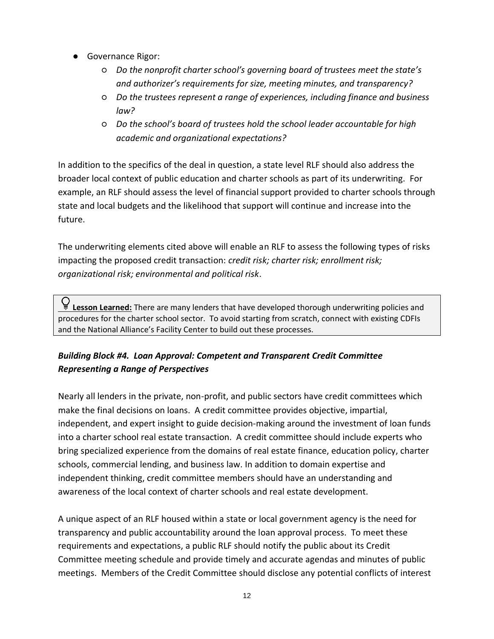- Governance Rigor:
	- *Do the nonprofit charter school's governing board of trustees meet the state's and authorizer's requirements for size, meeting minutes, and transparency?*
	- *Do the trustees represent a range of experiences, including finance and business law?*
	- *Do the school's board of trustees hold the school leader accountable for high academic and organizational expectations?*

In addition to the specifics of the deal in question, a state level RLF should also address the broader local context of public education and charter schools as part of its underwriting. For example, an RLF should assess the level of financial support provided to charter schools through state and local budgets and the likelihood that support will continue and increase into the future.

The underwriting elements cited above will enable an RLF to assess the following types of risks impacting the proposed credit transaction: *credit risk; charter risk; enrollment risk; organizational risk; environmental and political risk*.

Q<br>■ Lesson Learned: There are many lenders that have developed thorough underwriting policies and procedures for the charter school sector. To avoid starting from scratch, connect with existing CDFIs and the National Alliance's Facility Center to build out these processes.

# *Building Block #4. Loan Approval: Competent and Transparent Credit Committee Representing a Range of Perspectives*

Nearly all lenders in the private, non-profit, and public sectors have credit committees which make the final decisions on loans. A credit committee provides objective, impartial, independent, and expert insight to guide decision-making around the investment of loan funds into a charter school real estate transaction. A credit committee should include experts who bring specialized experience from the domains of real estate finance, education policy, charter schools, commercial lending, and business law. In addition to domain expertise and independent thinking, credit committee members should have an understanding and awareness of the local context of charter schools and real estate development.

A unique aspect of an RLF housed within a state or local government agency is the need for transparency and public accountability around the loan approval process. To meet these requirements and expectations, a public RLF should notify the public about its Credit Committee meeting schedule and provide timely and accurate agendas and minutes of public meetings. Members of the Credit Committee should disclose any potential conflicts of interest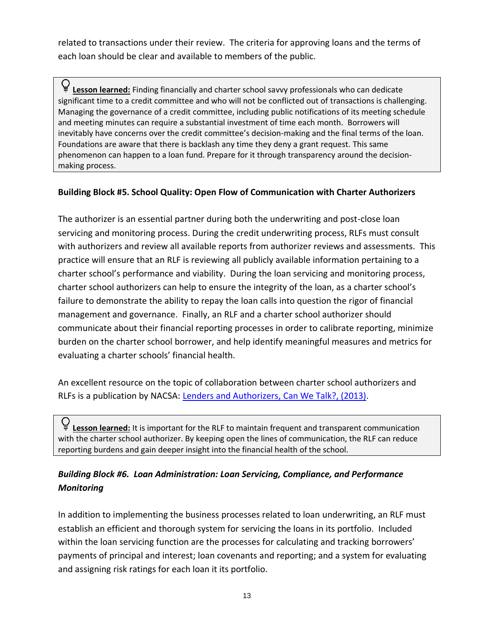related to transactions under their review. The criteria for approving loans and the terms of each loan should be clear and available to members of the public.

Q<br>■ Lesson learned: Finding financially and charter school savvy professionals who can dedicate significant time to a credit committee and who will not be conflicted out of transactions is challenging. Managing the governance of a credit committee, including public notifications of its meeting schedule and meeting minutes can require a substantial investment of time each month. Borrowers will inevitably have concerns over the credit committee's decision-making and the final terms of the loan. Foundations are aware that there is backlash any time they deny a grant request. This same phenomenon can happen to a loan fund. Prepare for it through transparency around the decisionmaking process.

#### **Building Block #5. School Quality: Open Flow of Communication with Charter Authorizers**

The authorizer is an essential partner during both the underwriting and post-close loan servicing and monitoring process. During the credit underwriting process, RLFs must consult with authorizers and review all available reports from authorizer reviews and assessments. This practice will ensure that an RLF is reviewing all publicly available information pertaining to a charter school's performance and viability. During the loan servicing and monitoring process, charter school authorizers can help to ensure the integrity of the loan, as a charter school's failure to demonstrate the ability to repay the loan calls into question the rigor of financial management and governance. Finally, an RLF and a charter school authorizer should communicate about their financial reporting processes in order to calibrate reporting, minimize burden on the charter school borrower, and help identify meaningful measures and metrics for evaluating a charter schools' financial health.

An excellent resource on the topic of collaboration between charter school authorizers and RLFs is a publication by NACSA: [Lenders and Authorizers, Can We Talk?, \(2013\).](https://www.qualitycharters.org/wp-content/uploads/2015/05/LendersAuthorizersReport_final.pdf)

Q<br>■ Lesson learned: It is important for the RLF to maintain frequent and transparent communication with the charter school authorizer. By keeping open the lines of communication, the RLF can reduce reporting burdens and gain deeper insight into the financial health of the school.

## *Building Block #6. Loan Administration: Loan Servicing, Compliance, and Performance Monitoring*

In addition to implementing the business processes related to loan underwriting, an RLF must establish an efficient and thorough system for servicing the loans in its portfolio. Included within the loan servicing function are the processes for calculating and tracking borrowers' payments of principal and interest; loan covenants and reporting; and a system for evaluating and assigning risk ratings for each loan it its portfolio.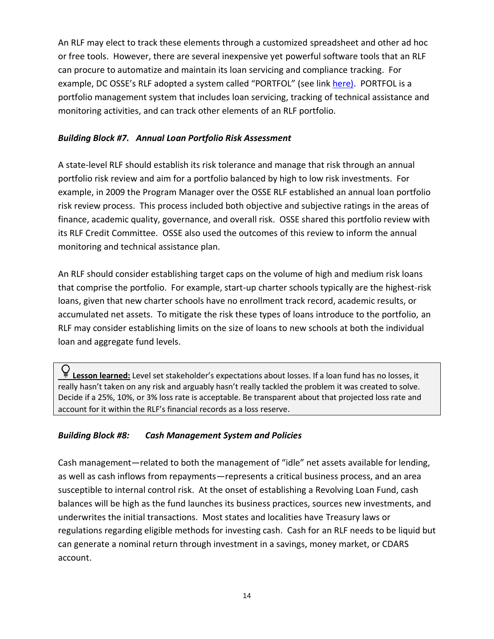An RLF may elect to track these elements through a customized spreadsheet and other ad hoc or free tools. However, there are several inexpensive yet powerful software tools that an RLF can procure to automatize and maintain its loan servicing and compliance tracking. For example, DC OSSE's RLF adopted a system called "PORTFOL" (see link [here\).](https://portfol.com/) PORTFOL is a portfolio management system that includes loan servicing, tracking of technical assistance and monitoring activities, and can track other elements of an RLF portfolio.

#### *Building Block #7. Annual Loan Portfolio Risk Assessment*

A state-level RLF should establish its risk tolerance and manage that risk through an annual portfolio risk review and aim for a portfolio balanced by high to low risk investments. For example, in 2009 the Program Manager over the OSSE RLF established an annual loan portfolio risk review process. This process included both objective and subjective ratings in the areas of finance, academic quality, governance, and overall risk. OSSE shared this portfolio review with its RLF Credit Committee. OSSE also used the outcomes of this review to inform the annual monitoring and technical assistance plan.

An RLF should consider establishing target caps on the volume of high and medium risk loans that comprise the portfolio. For example, start-up charter schools typically are the highest-risk loans, given that new charter schools have no enrollment track record, academic results, or accumulated net assets. To mitigate the risk these types of loans introduce to the portfolio, an RLF may consider establishing limits on the size of loans to new schools at both the individual loan and aggregate fund levels.

**Lesson learned:** Level set stakeholder's expectations about losses. If a loan fund has no losses, it really hasn't taken on any risk and arguably hasn't really tackled the problem it was created to solve. Decide if a 25%, 10%, or 3% loss rate is acceptable. Be transparent about that projected loss rate and account for it within the RLF's financial records as a loss reserve.

#### *Building Block #8: Cash Management System and Policies*

Cash management—related to both the management of "idle" net assets available for lending, as well as cash inflows from repayments—represents a critical business process, and an area susceptible to internal control risk. At the onset of establishing a Revolving Loan Fund, cash balances will be high as the fund launches its business practices, sources new investments, and underwrites the initial transactions. Most states and localities have Treasury laws or regulations regarding eligible methods for investing cash. Cash for an RLF needs to be liquid but can generate a nominal return through investment in a savings, money market, or CDARS account.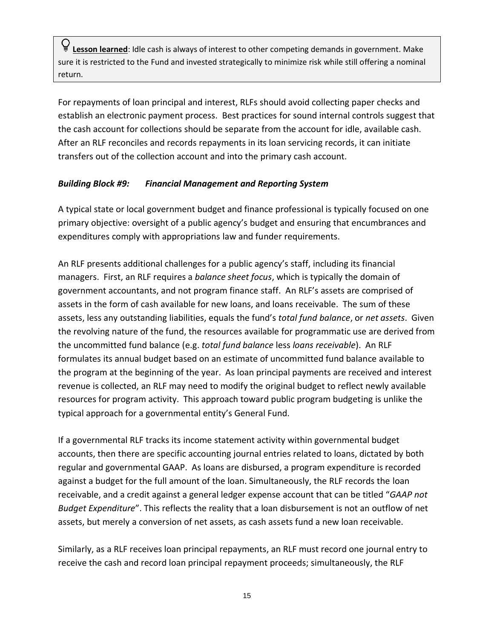**Lesson learned**: Idle cash is always of interest to other competing demands in government. Make sure it is restricted to the Fund and invested strategically to minimize risk while still offering a nominal return.

For repayments of loan principal and interest, RLFs should avoid collecting paper checks and establish an electronic payment process. Best practices for sound internal controls suggest that the cash account for collections should be separate from the account for idle, available cash. After an RLF reconciles and records repayments in its loan servicing records, it can initiate transfers out of the collection account and into the primary cash account.

#### *Building Block #9: Financial Management and Reporting System*

A typical state or local government budget and finance professional is typically focused on one primary objective: oversight of a public agency's budget and ensuring that encumbrances and expenditures comply with appropriations law and funder requirements.

An RLF presents additional challenges for a public agency's staff, including its financial managers. First, an RLF requires a *balance sheet focus*, which is typically the domain of government accountants, and not program finance staff. An RLF's assets are comprised of assets in the form of cash available for new loans, and loans receivable. The sum of these assets, less any outstanding liabilities, equals the fund's *total fund balance*, or *net assets*. Given the revolving nature of the fund, the resources available for programmatic use are derived from the uncommitted fund balance (e.g. *total fund balance* less *loans receivable*). An RLF formulates its annual budget based on an estimate of uncommitted fund balance available to the program at the beginning of the year. As loan principal payments are received and interest revenue is collected, an RLF may need to modify the original budget to reflect newly available resources for program activity. This approach toward public program budgeting is unlike the typical approach for a governmental entity's General Fund.

If a governmental RLF tracks its income statement activity within governmental budget accounts, then there are specific accounting journal entries related to loans, dictated by both regular and governmental GAAP. As loans are disbursed, a program expenditure is recorded against a budget for the full amount of the loan. Simultaneously, the RLF records the loan receivable, and a credit against a general ledger expense account that can be titled "*GAAP not Budget Expenditure*". This reflects the reality that a loan disbursement is not an outflow of net assets, but merely a conversion of net assets, as cash assets fund a new loan receivable.

Similarly, as a RLF receives loan principal repayments, an RLF must record one journal entry to receive the cash and record loan principal repayment proceeds; simultaneously, the RLF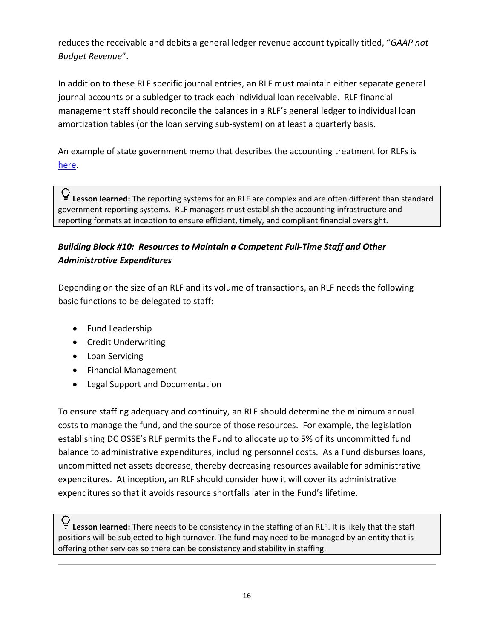reduces the receivable and debits a general ledger revenue account typically titled, "*GAAP not Budget Revenue*".

In addition to these RLF specific journal entries, an RLF must maintain either separate general journal accounts or a subledger to track each individual loan receivable. RLF financial management staff should reconcile the balances in a RLF's general ledger to individual loan amortization tables (or the loan serving sub-system) on at least a quarterly basis.

An example of state government memo that describes the accounting treatment for RLFs is [here.](https://files.nc.gov/nctreasurer/documents/files/SLGFD/Memos/2016-02.pdf)

Q<br>■ Lesson learned: The reporting systems for an RLF are complex and are often different than standard government reporting systems. RLF managers must establish the accounting infrastructure and reporting formats at inception to ensure efficient, timely, and compliant financial oversight.

# *Building Block #10: Resources to Maintain a Competent Full-Time Staff and Other Administrative Expenditures*

Depending on the size of an RLF and its volume of transactions, an RLF needs the following basic functions to be delegated to staff:

- Fund Leadership
- Credit Underwriting
- Loan Servicing
- Financial Management
- Legal Support and Documentation

To ensure staffing adequacy and continuity, an RLF should determine the minimum annual costs to manage the fund, and the source of those resources. For example, the legislation establishing DC OSSE's RLF permits the Fund to allocate up to 5% of its uncommitted fund balance to administrative expenditures, including personnel costs. As a Fund disburses loans, uncommitted net assets decrease, thereby decreasing resources available for administrative expenditures. At inception, an RLF should consider how it will cover its administrative expenditures so that it avoids resource shortfalls later in the Fund's lifetime.

**Lesson learned:** There needs to be consistency in the staffing of an RLF. It is likely that the staff positions will be subjected to high turnover. The fund may need to be managed by an entity that is offering other services so there can be consistency and stability in staffing.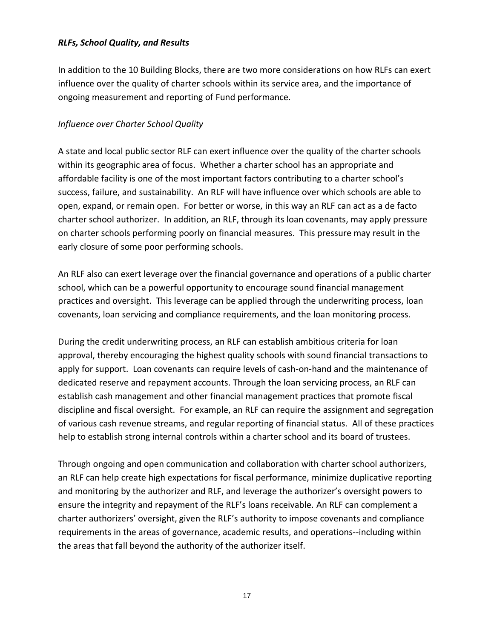#### *RLFs, School Quality, and Results*

In addition to the 10 Building Blocks, there are two more considerations on how RLFs can exert influence over the quality of charter schools within its service area, and the importance of ongoing measurement and reporting of Fund performance.

#### *Influence over Charter School Quality*

A state and local public sector RLF can exert influence over the quality of the charter schools within its geographic area of focus. Whether a charter school has an appropriate and affordable facility is one of the most important factors contributing to a charter school's success, failure, and sustainability. An RLF will have influence over which schools are able to open, expand, or remain open. For better or worse, in this way an RLF can act as a de facto charter school authorizer. In addition, an RLF, through its loan covenants, may apply pressure on charter schools performing poorly on financial measures. This pressure may result in the early closure of some poor performing schools.

An RLF also can exert leverage over the financial governance and operations of a public charter school, which can be a powerful opportunity to encourage sound financial management practices and oversight. This leverage can be applied through the underwriting process, loan covenants, loan servicing and compliance requirements, and the loan monitoring process.

During the credit underwriting process, an RLF can establish ambitious criteria for loan approval, thereby encouraging the highest quality schools with sound financial transactions to apply for support. Loan covenants can require levels of cash-on-hand and the maintenance of dedicated reserve and repayment accounts. Through the loan servicing process, an RLF can establish cash management and other financial management practices that promote fiscal discipline and fiscal oversight. For example, an RLF can require the assignment and segregation of various cash revenue streams, and regular reporting of financial status. All of these practices help to establish strong internal controls within a charter school and its board of trustees.

Through ongoing and open communication and collaboration with charter school authorizers, an RLF can help create high expectations for fiscal performance, minimize duplicative reporting and monitoring by the authorizer and RLF, and leverage the authorizer's oversight powers to ensure the integrity and repayment of the RLF's loans receivable. An RLF can complement a charter authorizers' oversight, given the RLF's authority to impose covenants and compliance requirements in the areas of governance, academic results, and operations--including within the areas that fall beyond the authority of the authorizer itself.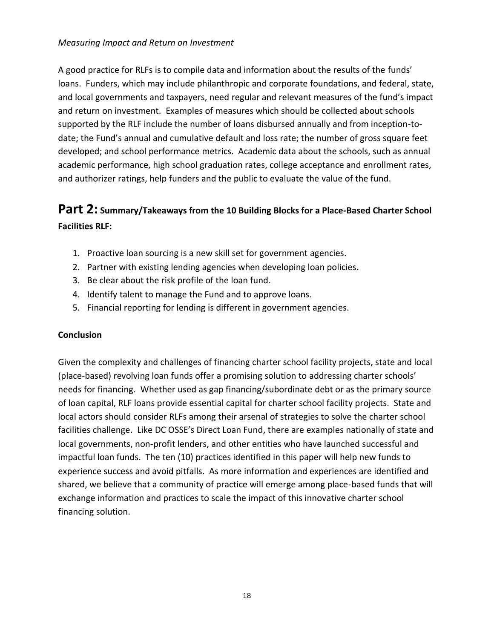#### *Measuring Impact and Return on Investment*

A good practice for RLFs is to compile data and information about the results of the funds' loans. Funders, which may include philanthropic and corporate foundations, and federal, state, and local governments and taxpayers, need regular and relevant measures of the fund's impact and return on investment. Examples of measures which should be collected about schools supported by the RLF include the number of loans disbursed annually and from inception-todate; the Fund's annual and cumulative default and loss rate; the number of gross square feet developed; and school performance metrics. Academic data about the schools, such as annual academic performance, high school graduation rates, college acceptance and enrollment rates, and authorizer ratings, help funders and the public to evaluate the value of the fund.

# **Part 2: Summary/Takeaways from the 10 Building Blocks for a Place-Based Charter School Facilities RLF:**

- 1. Proactive loan sourcing is a new skill set for government agencies.
- 2. Partner with existing lending agencies when developing loan policies.
- 3. Be clear about the risk profile of the loan fund.
- 4. Identify talent to manage the Fund and to approve loans.
- 5. Financial reporting for lending is different in government agencies.

#### **Conclusion**

Given the complexity and challenges of financing charter school facility projects, state and local (place-based) revolving loan funds offer a promising solution to addressing charter schools' needs for financing. Whether used as gap financing/subordinate debt or as the primary source of loan capital, RLF loans provide essential capital for charter school facility projects. State and local actors should consider RLFs among their arsenal of strategies to solve the charter school facilities challenge. Like DC OSSE's Direct Loan Fund, there are examples nationally of state and local governments, non-profit lenders, and other entities who have launched successful and impactful loan funds. The ten (10) practices identified in this paper will help new funds to experience success and avoid pitfalls. As more information and experiences are identified and shared, we believe that a community of practice will emerge among place-based funds that will exchange information and practices to scale the impact of this innovative charter school financing solution.